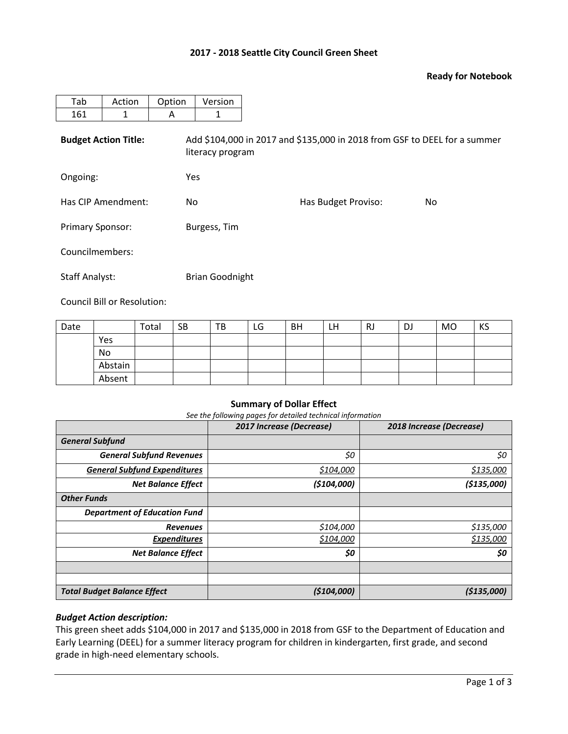## **2017 - 2018 Seattle City Council Green Sheet**

## **Ready for Notebook**

| Tab                         | Action | Option | Version                                                                                       |                     |     |  |  |  |  |  |
|-----------------------------|--------|--------|-----------------------------------------------------------------------------------------------|---------------------|-----|--|--|--|--|--|
| 161                         | 1      | A      | 1                                                                                             |                     |     |  |  |  |  |  |
| <b>Budget Action Title:</b> |        |        | Add \$104,000 in 2017 and \$135,000 in 2018 from GSF to DEEL for a summer<br>literacy program |                     |     |  |  |  |  |  |
| Ongoing:                    |        | Yes    |                                                                                               |                     |     |  |  |  |  |  |
| Has CIP Amendment:          |        | No.    |                                                                                               | Has Budget Proviso: | No. |  |  |  |  |  |
| <b>Primary Sponsor:</b>     |        |        | Burgess, Tim                                                                                  |                     |     |  |  |  |  |  |
| Councilmembers:             |        |        |                                                                                               |                     |     |  |  |  |  |  |
| <b>Staff Analyst:</b>       |        |        | <b>Brian Goodnight</b>                                                                        |                     |     |  |  |  |  |  |

Council Bill or Resolution:

| Date |         | Total | <b>SB</b> | TB | LG | <b>BH</b> | LH | RJ | DJ | <b>MO</b> | KS |
|------|---------|-------|-----------|----|----|-----------|----|----|----|-----------|----|
|      | Yes     |       |           |    |    |           |    |    |    |           |    |
|      | No      |       |           |    |    |           |    |    |    |           |    |
|      | Abstain |       |           |    |    |           |    |    |    |           |    |
|      | Absent  |       |           |    |    |           |    |    |    |           |    |

## **Summary of Dollar Effect**

*See the following pages for detailed technical information*

|                                     | 2017 Increase (Decrease) | 2018 Increase (Decrease) |
|-------------------------------------|--------------------------|--------------------------|
| <b>General Subfund</b>              |                          |                          |
| <b>General Subfund Revenues</b>     | \$0                      | \$0                      |
| <b>General Subfund Expenditures</b> | \$104,000                | \$135,000                |
| <b>Net Balance Effect</b>           | (5104,000)               | ( \$135,000]             |
| <b>Other Funds</b>                  |                          |                          |
| <b>Department of Education Fund</b> |                          |                          |
| <b>Revenues</b>                     | \$104,000                | \$135,000                |
| <b>Expenditures</b>                 | \$104,000                | \$135,000                |
| <b>Net Balance Effect</b>           | \$0                      | \$0                      |
|                                     |                          |                          |
|                                     |                          |                          |
| <b>Total Budget Balance Effect</b>  | (5104,000)               | ( \$135,000]             |

## *Budget Action description:*

This green sheet adds \$104,000 in 2017 and \$135,000 in 2018 from GSF to the Department of Education and Early Learning (DEEL) for a summer literacy program for children in kindergarten, first grade, and second grade in high-need elementary schools.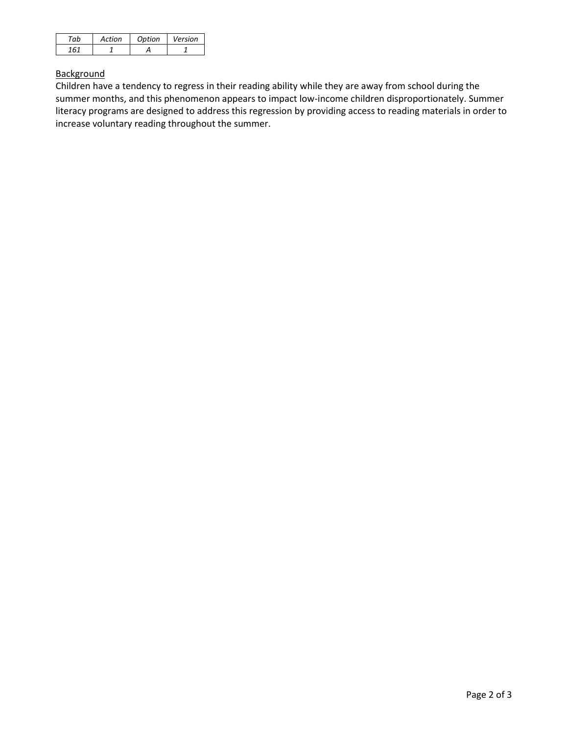| ่~⊾ | Action | Option | Version |
|-----|--------|--------|---------|
|     |        |        |         |

# **Background**

Children have a tendency to regress in their reading ability while they are away from school during the summer months, and this phenomenon appears to impact low-income children disproportionately. Summer literacy programs are designed to address this regression by providing access to reading materials in order to increase voluntary reading throughout the summer.